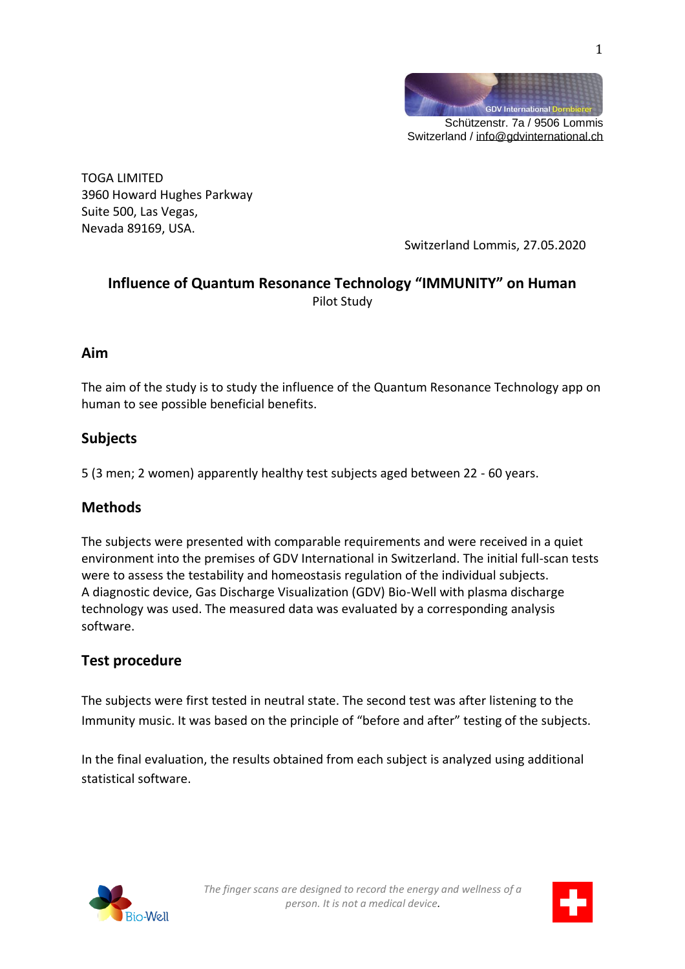

Switzerland / [info@gdvinternational.ch](mailto:info@gdvinternational.ch)

TOGA LIMITED 3960 Howard Hughes Parkway Suite 500, Las Vegas, Nevada 89169, USA.

Switzerland Lommis, 27.05.2020

# **Influence of Quantum Resonance Technology "IMMUNITY" on Human** Pilot Study

### **Aim**

The aim of the study is to study the influence of the Quantum Resonance Technology app on human to see possible beneficial benefits.

## **Subjects**

5 (3 men; 2 women) apparently healthy test subjects aged between 22 - 60 years.

## **Methods**

The subjects were presented with comparable requirements and were received in a quiet environment into the premises of GDV International in Switzerland. The initial full-scan tests were to assess the testability and homeostasis regulation of the individual subjects. A diagnostic device, Gas Discharge Visualization (GDV) Bio-Well with plasma discharge technology was used. The measured data was evaluated by a corresponding analysis software.

## **Test procedure**

The subjects were first tested in neutral state. The second test was after listening to the Immunity music. It was based on the principle of "before and after" testing of the subjects.

In the final evaluation, the results obtained from each subject is analyzed using additional statistical software.





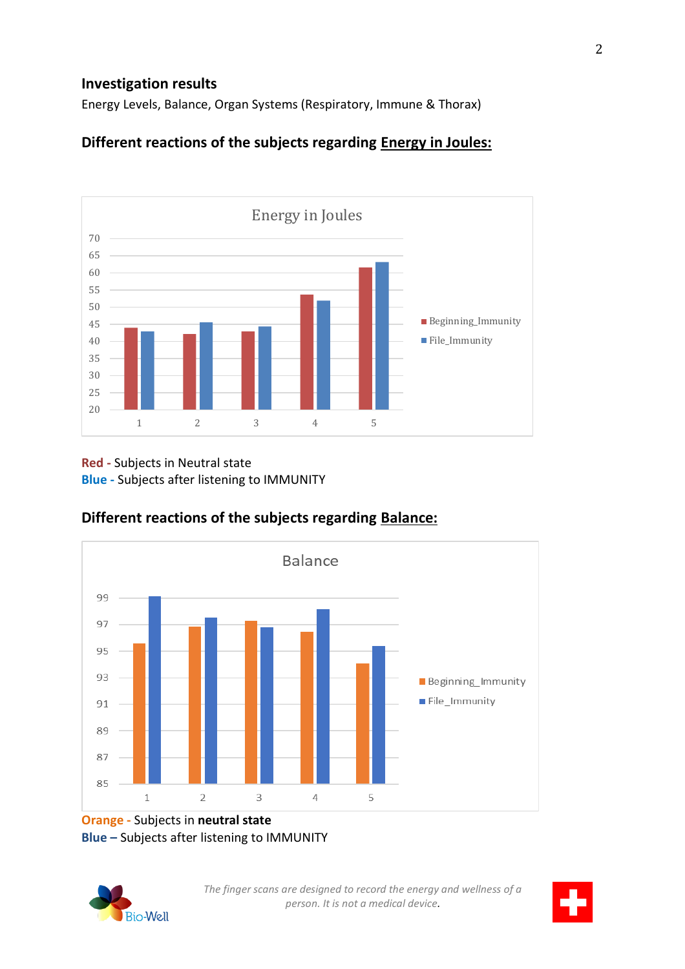### **Investigation results**

Energy Levels, Balance, Organ Systems (Respiratory, Immune & Thorax)

# **Different reactions of the subjects regarding Energy in Joules:**



#### **Red -** Subjects in Neutral state **Blue -** Subjects after listening to IMMUNITY



# **Different reactions of the subjects regarding Balance:**

**Orange -** Subjects in **neutral state Blue –** Subjects after listening to IMMUNITY



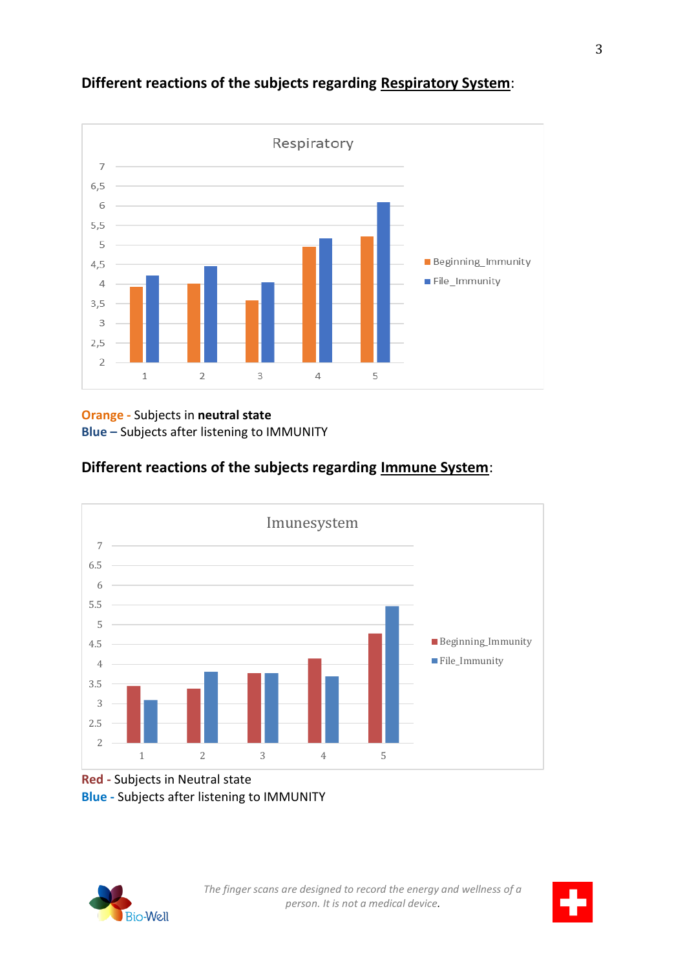

# **Different reactions of the subjects regarding Respiratory System**:

**Orange -** Subjects in **neutral state Blue –** Subjects after listening to IMMUNITY

# **Different reactions of the subjects regarding Immune System**:



#### **Red -** Subjects in Neutral state **Blue -** Subjects after listening to IMMUNITY



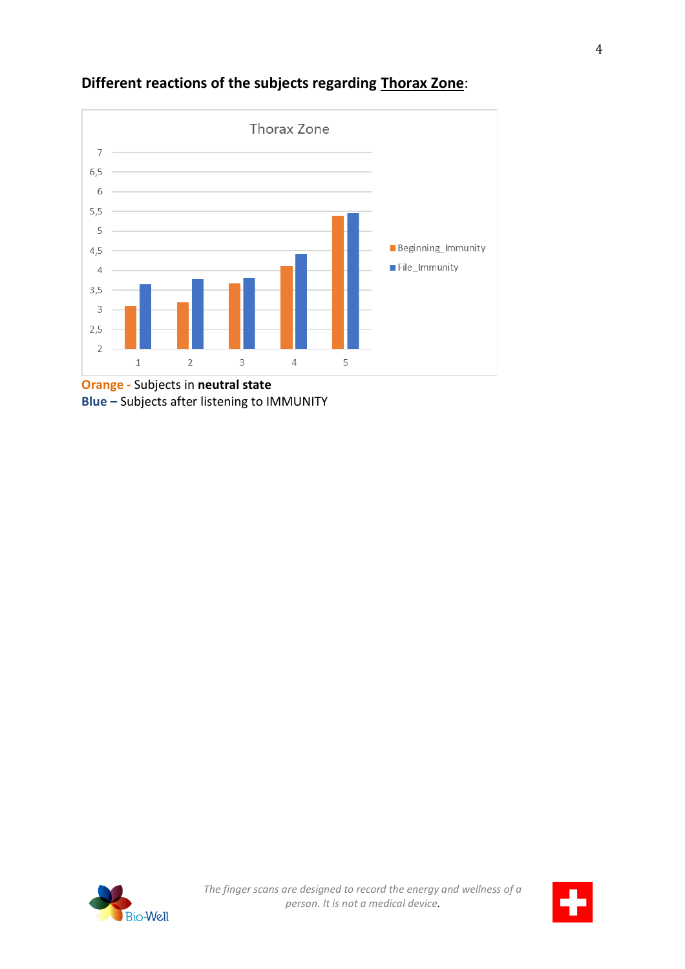

# **Different reactions of the subjects regarding Thorax Zone**:

**Orange -** Subjects in **neutral state Blue –** Subjects after listening to IMMUNITY



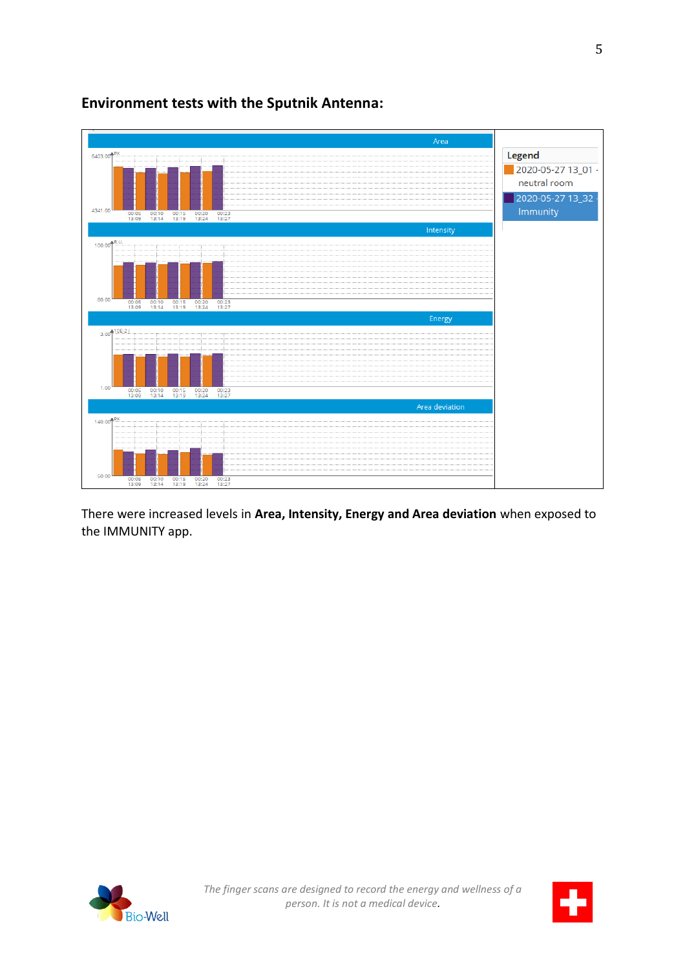

**Environment tests with the Sputnik Antenna:**

There were increased levels in **Area, Intensity, Energy and Area deviation** when exposed to the IMMUNITY app.